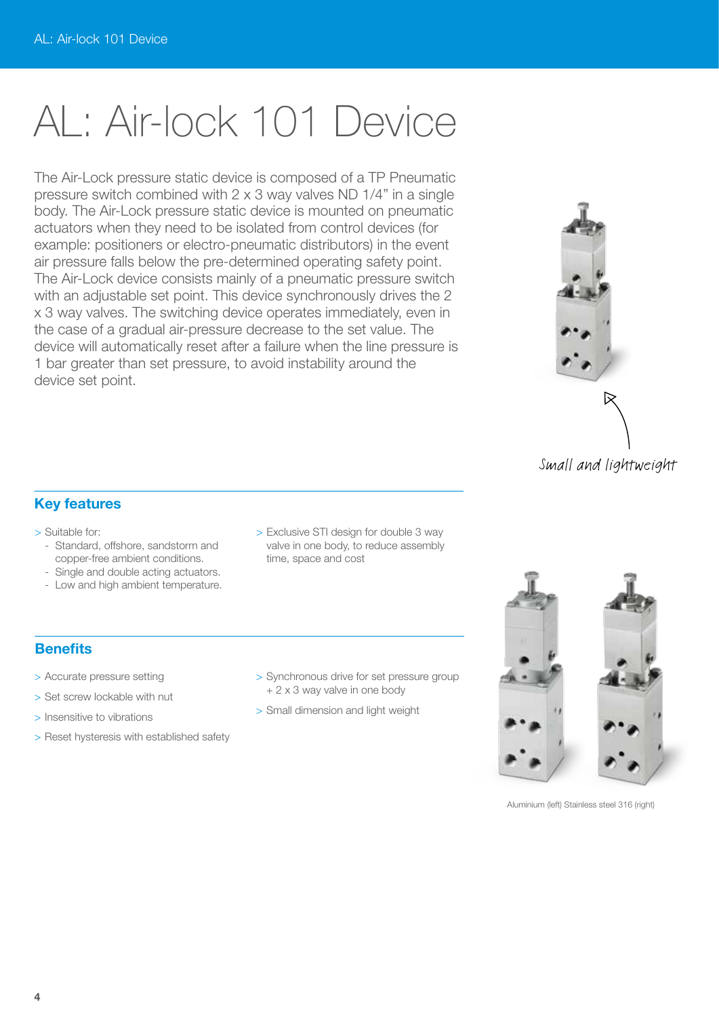# AL: Air-lock 101 Device

The Air-Lock pressure static device is composed of a TP Pneumatic pressure switch combined with 2 x 3 way valves ND 1/4" in a single body. The Air-Lock pressure static device is mounted on pneumatic actuators when they need to be isolated from control devices (for example: positioners or electro-pneumatic distributors) in the event air pressure falls below the pre-determined operating safety point. The Air-Lock device consists mainly of a pneumatic pressure switch with an adjustable set point. This device synchronously drives the 2 x 3 way valves. The switching device operates immediately, even in the case of a gradual air-pressure decrease to the set value. The device will automatically reset after a failure when the line pressure is 1 bar greater than set pressure, to avoid instability around the device set point.



## **Key features**

> Suitable for:

- Standard, offshore, sandstorm and copper-free ambient conditions.
- Single and double acting actuators.
- Low and high ambient temperature.
- > Exclusive STI design for double 3 way valve in one body, to reduce assembly time, space and cost

# **Benefits**

- > Accurate pressure setting
- > Set screw lockable with nut
- > Insensitive to vibrations
- > Reset hysteresis with established safety
- > Synchronous drive for set pressure group + 2 x 3 way valve in one body
- > Small dimension and light weight



Aluminium (left) Stainless steel 316 (right)